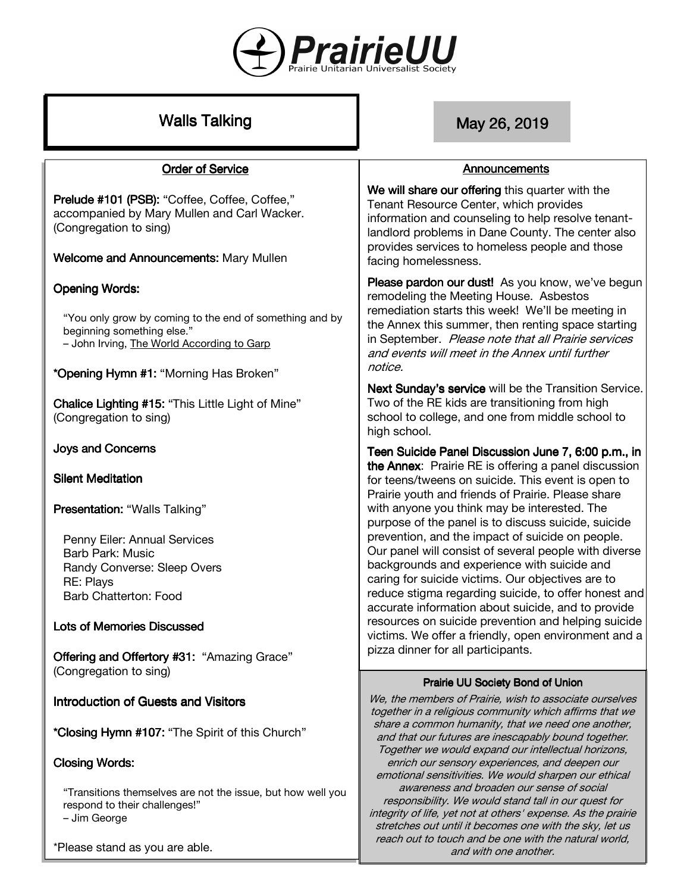

# Walls Talking **May 26, 2019** May 26, 2019

#### **Order of Service**

Prelude #101 (PSB): "Coffee, Coffee, Coffee," accompanied by Mary Mullen and Carl Wacker. (Congregation to sing)

Welcome and Announcements: Mary Mullen

#### **Opening Words:**

"You only grow by coming to the end of something and by beginning something else." – John Irving, The World According to Garp

\*Opening Hymn #1: "Morning Has Broken"

Chalice Lighting #15: "This Little Light of Mine" (Congregation to sing)

#### **Joys and Concerns**

**Silent Meditation** 

Presentation: "Walls Talking"

Penny Eiler: Annual Services Barb Park: Music Randy Converse: Sleep Overs RE: Plays Barb Chatterton: Food

#### Lots of Memories Discussed

Offering and Offertory #31: "Amazing Grace" (Congregation to sing)

Introduction of Guests and Visitors

\*Closing Hymn #107: "The Spirit of this Church"

#### **Closing Words:**

"Transitions themselves are not the issue, but how well you respond to their challenges!"

– Jim George

\*Please stand as you are able.

#### Announcements

We will share our offering this quarter with the Tenant Resource Center, which provides information and counseling to help resolve tenantlandlord problems in Dane County. The center also provides services to homeless people and those facing homelessness.

Please pardon our dust! As you know, we've begun remodeling the Meeting House. Asbestos remediation starts this week! We'll be meeting in the Annex this summer, then renting space starting in September. Please note that all Prairie services and events will meet in the Annex until further notice.

Next Sunday's service will be the Transition Service. Two of the RE kids are transitioning from high school to college, and one from middle school to high school.

Teen Suicide Panel Discussion June 7, 6:00 p.m., in the Annex: Prairie RE is offering a panel discussion for teens/tweens on suicide. This event is open to Prairie youth and friends of Prairie. Please share with anyone you think may be interested. The purpose of the panel is to discuss suicide, suicide prevention, and the impact of suicide on people. Our panel will consist of several people with diverse backgrounds and experience with suicide and caring for suicide victims. Our objectives are to reduce stigma regarding suicide, to offer honest and accurate information about suicide, and to provide resources on suicide prevention and helping suicide victims. We offer a friendly, open environment and a pizza dinner for all participants.

#### Prairie UU Society Bond of Union

We, the members of Prairie, wish to associate ourselves together in a religious community which affirms that we share a common humanity, that we need one another, and that our futures are inescapably bound together. Together we would expand our intellectual horizons, enrich our sensory experiences, and deepen our emotional sensitivities. We would sharpen our ethical awareness and broaden our sense of social responsibility. We would stand tall in our quest for integrity of life, yet not at others' expense. As the prairie stretches out until it becomes one with the sky, let us reach out to touch and be one with the natural world, and with one another.